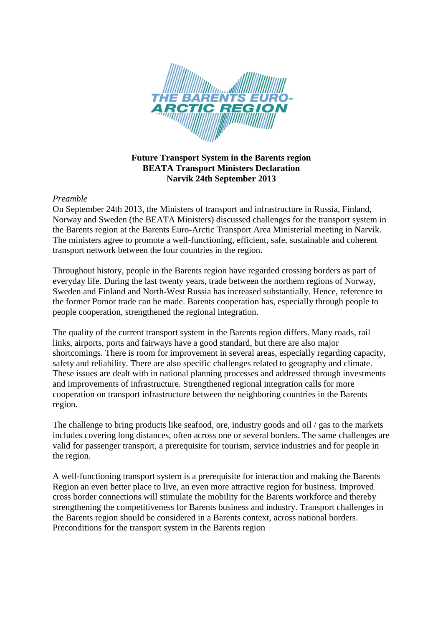

## **Future Transport System in the Barents region BEATA Transport Ministers Declaration Narvik 24th September 2013**

# *Preamble*

On September 24th 2013, the Ministers of transport and infrastructure in Russia, Finland, Norway and Sweden (the BEATA Ministers) discussed challenges for the transport system in the Barents region at the Barents Euro-Arctic Transport Area Ministerial meeting in Narvik. The ministers agree to promote a well-functioning, efficient, safe, sustainable and coherent transport network between the four countries in the region.

Throughout history, people in the Barents region have regarded crossing borders as part of everyday life. During the last twenty years, trade between the northern regions of Norway, Sweden and Finland and North-West Russia has increased substantially. Hence, reference to the former Pomor trade can be made. Barents cooperation has, especially through people to people cooperation, strengthened the regional integration.

The quality of the current transport system in the Barents region differs. Many roads, rail links, airports, ports and fairways have a good standard, but there are also major shortcomings. There is room for improvement in several areas, especially regarding capacity, safety and reliability. There are also specific challenges related to geography and climate. These issues are dealt with in national planning processes and addressed through investments and improvements of infrastructure. Strengthened regional integration calls for more cooperation on transport infrastructure between the neighboring countries in the Barents region.

The challenge to bring products like seafood, ore, industry goods and oil / gas to the markets includes covering long distances, often across one or several borders. The same challenges are valid for passenger transport, a prerequisite for tourism, service industries and for people in the region.

A well-functioning transport system is a prerequisite for interaction and making the Barents Region an even better place to live, an even more attractive region for business. Improved cross border connections will stimulate the mobility for the Barents workforce and thereby strengthening the competitiveness for Barents business and industry. Transport challenges in the Barents region should be considered in a Barents context, across national borders. Preconditions for the transport system in the Barents region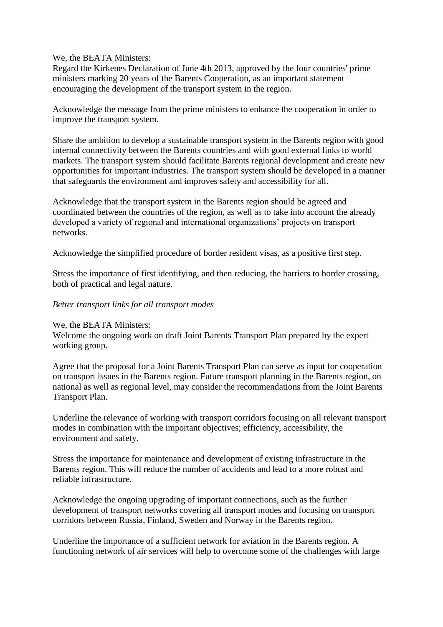We, the BEATA Ministers:

Regard the Kirkenes Declaration of June 4th 2013, approved by the four countries' prime ministers marking 20 years of the Barents Cooperation, as an important statement encouraging the development of the transport system in the region.

Acknowledge the message from the prime ministers to enhance the cooperation in order to improve the transport system.

Share the ambition to develop a sustainable transport system in the Barents region with good internal connectivity between the Barents countries and with good external links to world markets. The transport system should facilitate Barents regional development and create new opportunities for important industries. The transport system should be developed in a manner that safeguards the environment and improves safety and accessibility for all.

Acknowledge that the transport system in the Barents region should be agreed and coordinated between the countries of the region, as well as to take into account the already developed a variety of regional and international organizations' projects on transport networks.

Acknowledge the simplified procedure of border resident visas, as a positive first step.

Stress the importance of first identifying, and then reducing, the barriers to border crossing, both of practical and legal nature.

#### *Better transport links for all transport modes*

#### We, the BEATA Ministers:

Welcome the ongoing work on draft Joint Barents Transport Plan prepared by the expert working group.

Agree that the proposal for a Joint Barents Transport Plan can serve as input for cooperation on transport issues in the Barents region. Future transport planning in the Barents region, on national as well as regional level, may consider the recommendations from the Joint Barents Transport Plan.

Underline the relevance of working with transport corridors focusing on all relevant transport modes in combination with the important objectives; efficiency, accessibility, the environment and safety.

Stress the importance for maintenance and development of existing infrastructure in the Barents region. This will reduce the number of accidents and lead to a more robust and reliable infrastructure.

Acknowledge the ongoing upgrading of important connections, such as the further development of transport networks covering all transport modes and focusing on transport corridors between Russia, Finland, Sweden and Norway in the Barents region.

Underline the importance of a sufficient network for aviation in the Barents region. A functioning network of air services will help to overcome some of the challenges with large